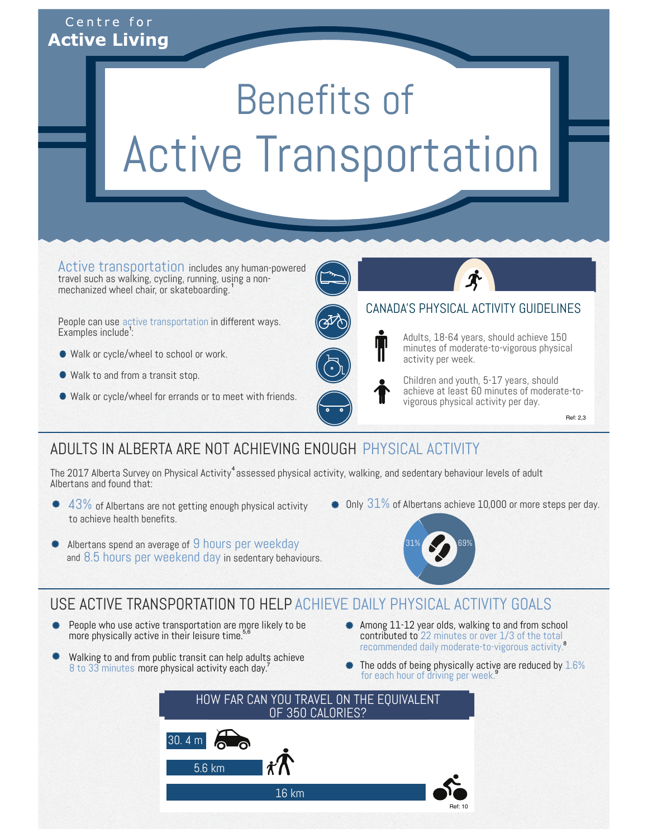## Centre for **Active Living**

# Benefits of Active Transportation

includes any human-powered travel such as walking, cycling, running, using a nonmechanized wheel chair, or skateboarding. Active transportation 1

People can use active transportation in different ways. Examples include<sup>1</sup>:

- Walk or cycle/wheel to school or work.
- Walk to and from a transit stop.
- Walk or cycle/wheel for errands or to meet with friends.



#### CANADA'S PHYSICAL ACTIVITY GUIDELINES

Adults, 18-64 years, should achieve 150 minutes of moderate-to-vigorous physical activity per week.



Children and youth, 5-17 years, should achieve at least 60 minutes of moderate-tovigorous physical activity per day.

Ref: 2,3

## ADULTS IN ALBERTA ARE NOT ACHIEVING ENOUGH PHYSICAL ACTIVITY

The 2017 Alberta Survey on Physical Activity $^4$  assessed physical activity, walking, and sedentary behaviour levels of adult Albertans and found that:

- $\bullet$  43% of Albertans are not getting enough physical activity to achieve health benefits.
- $\bullet$  Only  $31\%$  of Albertans achieve 10,000 or more steps per day.



## Albertans spend an average of 9 hours per weekday and 8.5 hours per weekend day in sedentary behaviours.

## USE ACTIVE TRANSPORTATION TO HELP ACHIEVE DAILY PHYSICAL ACTIVITY GOALS

- People who use active transportation are more likely to be more physically active in their leisure time.<sup>5,6</sup>
- Walking to and from public transit can help adults achieve 8 to 33 minutes more physical activity each day.<sup>7</sup>
- Among 11-12 year olds, walking to and from school contributed to **contributed to** 22 minutes or over 1/3 of the total<br>recommended daily moderate-to-vigorous activity.<sup>8</sup>
- The odds of being physically active are reduced by 1.6%<br>for each bour of driving per wook s for each hour of driving per week.

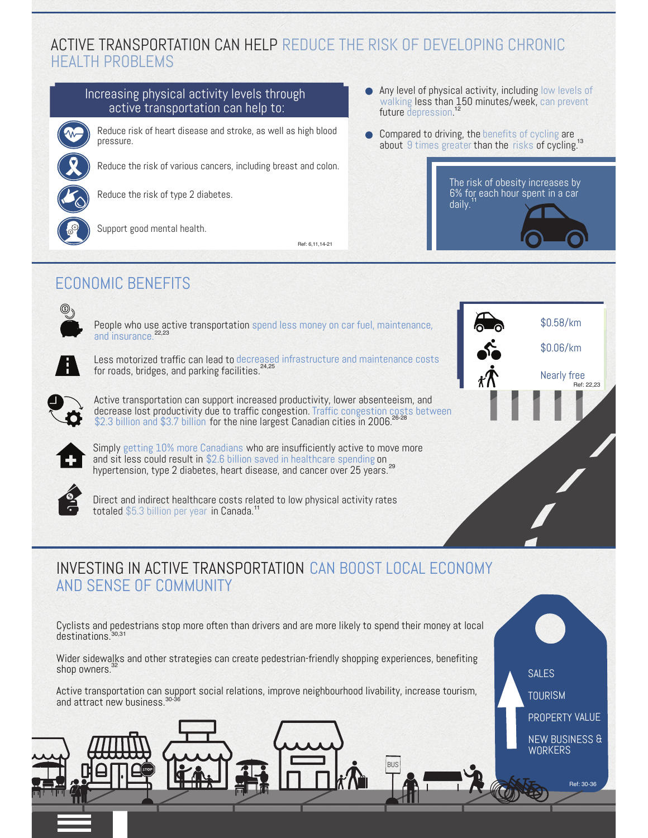## ACTIVE TRANSPORTATION CAN HELP REDUCE THE RISK OF DEVELOPING CHRONIC HEALTH PROBLEMS

#### Increasing physical activity levels through active transportation can help to:



Reduce risk of heart disease and stroke, as well as high blood pressure.

Reduce the risk of various cancers, including breast and colon.



Reduce the risk of type 2 diabetes.



Support good mental health.

Ref: 6,11,14-21

- Any level of physical activity, including low levels of less than 150 minutes/week, future depression.<sup>1</sup> walking  $\operatorname{\sf less}$  than  $150$  minutes/week, can prevent depression.<sup>12</sup>
- Compared to driving, the benefits of cycling are about 9 times greater than the risks of cycling. benefits of cycling 9 times greater than the risks of cycling.<sup>13</sup>



 $$0.06/km$ 

Nearly free

Ref: 22,23

## ECONOMIC BENEFITS



People who use active transportation spend less money on car fuel, maintenance, \$0.58/km bbb and insurance. 22,23



Less motorized traffic can lead to decreased infrastructure and maintenance costs for roads, bridges, and parking facilities. 24,25



Active transportation can support increased productivity, lower absenteeism, and decrease lost productivity due to traffic congestion. for the nine largest Canadian cities in 2006. decrease lost productivity due to traffic congestion. Traffic congestion costs between<br>\$2.3 billion and \$3.7 billion for the nine largest Canadian cities in 2006.<sup>26-28</sup>



Simply getting 10% more Canadians who are insufficiently active to move more and sit less could result in \$2.6 billion saved in healthcare spending on hypertension, type 2 diabetes, heart disease, and cancer over 25 years. 29



Direct and indirect healthcare costs related to low physical activity rates totaled \$5.3 billion per year in Canada.<sup>1</sup>

## INVESTING IN ACTIVE TRANSPORTATION CAN BOOST LOCAL ECONOMY AND SENSE OF COMMUNITY

Cyclists and pedestrians stop more often than drivers and are more likely to spend their money at local destinations. 30,31

Wider sidewalks and other strategies can create pedestrian-friendly shopping experiences, benefiting shop owners.<sup>32</sup>

Active transportation can support social relations, improve neighbourhood livability, increase tourism, and attract new business. 30-36

BUS

SALES **TOURISM** PROPERTY VALUE

NEW BUSINESS & WORKERS

Ref: 30-36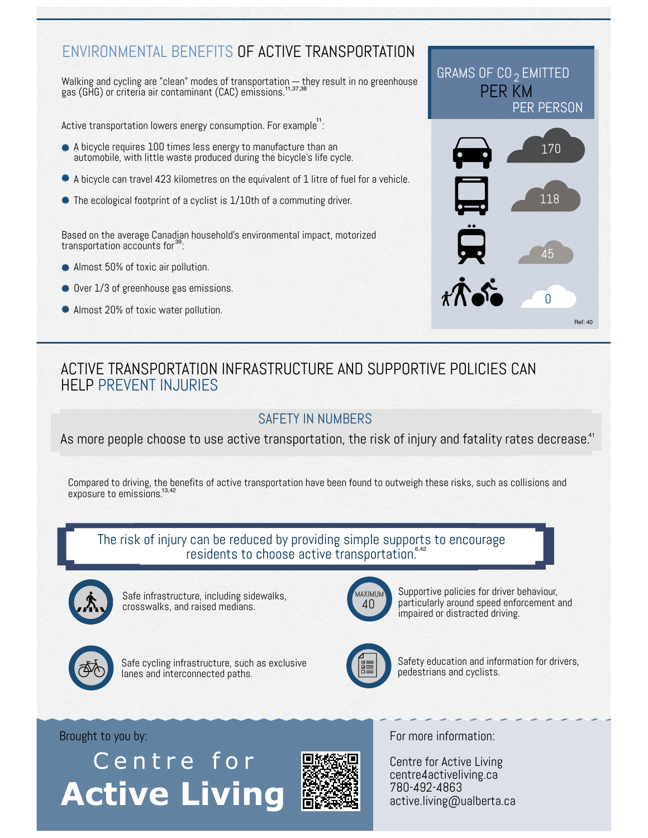## ENVIRONMENTAL BENEFITS OF ACTIVE TRANSPORTATION

Walking and cycling are "clean" modes of transportation  $-$  they result in no greenhouse gas (GHG) or criteria air contaminant (CAC) emissions.<sup>11,37,38</sup>

Active transportation lowers energy consumption. For example $^{\prime\prime}$ :

- A bicycle requires 100 times less energy to manufacture than an automobile, with little waste produced during the bicycle's life cycle.
- A bicycle can travel 423 kilometres on the equivalent of 1 litre of fuel for a vehicle.
- The ecological footprint of a cyclist is 1/10th of a commuting driver.

Based on the average Canadian household's environmental impact, motorized transportation accounts for<sup>39</sup>:

- Almost 50% of toxic air pollution.
- Over 1/3 of greenhouse gas emissions.
- **Almost 20% of toxic water pollution.**



## ACTIVE TRANSPORTATION INFRASTRUCTURE AND SUPPORTIVE POLICIES CAN HELP PREVENT INJURIES

#### SAFETY IN NUMBERS

As more people choose to use active transportation, the risk of injury and fatality rates decrease.<sup>41</sup>

Compared to driving, the benefits of active transportation have been found to outweigh these risks, such as collisions and exposure to emissions. 13,42

#### The risk of injury can be reduced by providing simple supports to encourage residents to choose active transportation.<sup>6,42</sup>



Safe infrastructure, including sidewalks, crosswalks, and raised medians.



Safe cycling infrastructure, such as exclusive lanes and interconnected paths.



Supportive policies for driver behaviour, particularly around speed enforcement and impaired or distracted driving.



Safety education and information for drivers, pedestrians and cyclists.

## Centre for **Active Living**



Brought to you by: For more information:

Centre for Active Living centre4activeliving.ca 780-492-4863 active.living@ualberta.ca